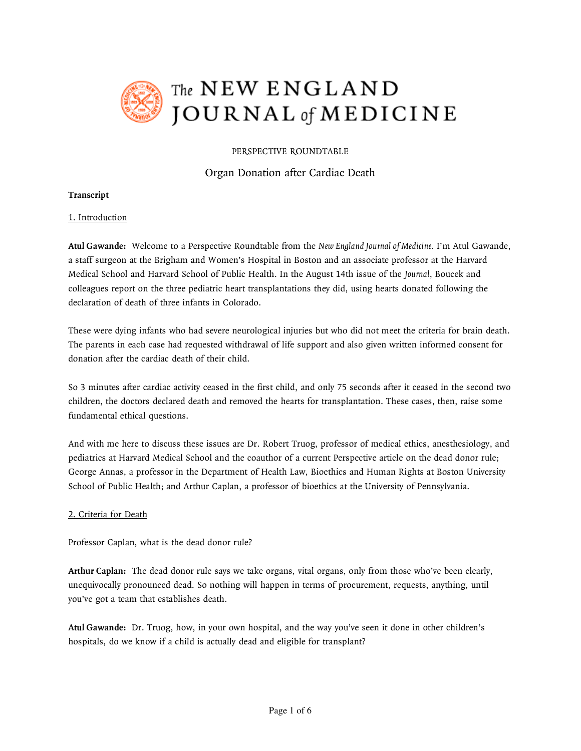

# The NEW ENGLAND JOURNAL of MEDICINE

# PERSPECTIVE ROUNDTABLE

# Organ Donation after Cardiac Death

# **Transcript**

# 1. Introduction

**Atul Gawande:** Welcome to a Perspective Roundtable from the *New England Journal of Medicine*. I'm Atul Gawande, a staff surgeon at the Brigham and Women's Hospital in Boston and an associate professor at the Harvard Medical School and Harvard School of Public Health. In the August 14th issue of the *Journal*, Boucek and colleagues report on the three pediatric heart transplantations they did, using hearts donated following the declaration of death of three infants in Colorado.

These were dying infants who had severe neurological injuries but who did not meet the criteria for brain death. The parents in each case had requested withdrawal of life support and also given written informed consent for donation after the cardiac death of their child.

So 3 minutes after cardiac activity ceased in the first child, and only 75 seconds after it ceased in the second two children, the doctors declared death and removed the hearts for transplantation. These cases, then, raise some fundamental ethical questions.

And with me here to discuss these issues are Dr. Robert Truog, professor of medical ethics, anesthesiology, and pediatrics at Harvard Medical School and the coauthor of a current Perspective article on the dead donor rule; George Annas, a professor in the Department of Health Law, Bioethics and Human Rights at Boston University School of Public Health; and Arthur Caplan, a professor of bioethics at the University of Pennsylvania.

### 2. Criteria for Death

Professor Caplan, what is the dead donor rule?

**Arthur Caplan:** The dead donor rule says we take organs, vital organs, only from those who've been clearly, unequivocally pronounced dead. So nothing will happen in terms of procurement, requests, anything, until you've got a team that establishes death.

**Atul Gawande:** Dr. Truog, how, in your own hospital, and the way you've seen it done in other children's hospitals, do we know if a child is actually dead and eligible for transplant?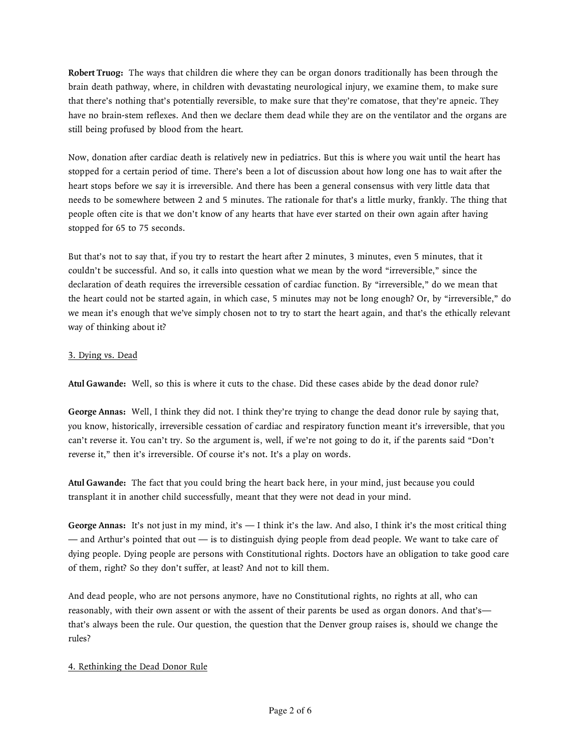**Robert Truog:** The ways that children die where they can be organ donors traditionally has been through the brain death pathway, where, in children with devastating neurological injury, we examine them, to make sure that there's nothing that's potentially reversible, to make sure that they're comatose, that they're apneic. They have no brain-stem reflexes. And then we declare them dead while they are on the ventilator and the organs are still being profused by blood from the heart.

Now, donation after cardiac death is relatively new in pediatrics. But this is where you wait until the heart has stopped for a certain period of time. There's been a lot of discussion about how long one has to wait after the heart stops before we say it is irreversible. And there has been a general consensus with very little data that needs to be somewhere between 2 and 5 minutes. The rationale for that's a little murky, frankly. The thing that people often cite is that we don't know of any hearts that have ever started on their own again after having stopped for 65 to 75 seconds.

But that's not to say that, if you try to restart the heart after 2 minutes, 3 minutes, even 5 minutes, that it couldn't be successful. And so, it calls into question what we mean by the word "irreversible," since the declaration of death requires the irreversible cessation of cardiac function. By "irreversible," do we mean that the heart could not be started again, in which case, 5 minutes may not be long enough? Or, by "irreversible," do we mean it's enough that we've simply chosen not to try to start the heart again, and that's the ethically relevant way of thinking about it?

# 3. Dying vs. Dead

**Atul Gawande:** Well, so this is where it cuts to the chase. Did these cases abide by the dead donor rule?

**George Annas:** Well, I think they did not. I think they're trying to change the dead donor rule by saying that, you know, historically, irreversible cessation of cardiac and respiratory function meant it's irreversible, that you can't reverse it. You can't try. So the argument is, well, if we're not going to do it, if the parents said "Don't reverse it," then it's irreversible. Of course it's not. It's a play on words.

**Atul Gawande:** The fact that you could bring the heart back here, in your mind, just because you could transplant it in another child successfully, meant that they were not dead in your mind.

**George Annas:** It's not just in my mind, it's — I think it's the law. And also, I think it's the most critical thing — and Arthur's pointed that out — is to distinguish dying people from dead people. We want to take care of dying people. Dying people are persons with Constitutional rights. Doctors have an obligation to take good care of them, right? So they don't suffer, at least? And not to kill them.

And dead people, who are not persons anymore, have no Constitutional rights, no rights at all, who can reasonably, with their own assent or with the assent of their parents be used as organ donors. And that's that's always been the rule. Our question, the question that the Denver group raises is, should we change the rules?

### 4. Rethinking the Dead Donor Rule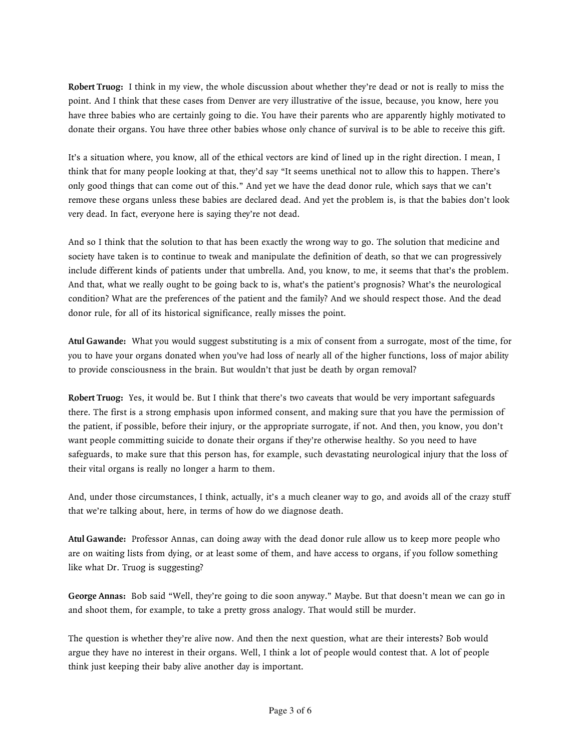**Robert Truog:** I think in my view, the whole discussion about whether they're dead or not is really to miss the point. And I think that these cases from Denver are very illustrative of the issue, because, you know, here you have three babies who are certainly going to die. You have their parents who are apparently highly motivated to donate their organs. You have three other babies whose only chance of survival is to be able to receive this gift.

It's a situation where, you know, all of the ethical vectors are kind of lined up in the right direction. I mean, I think that for many people looking at that, they'd say "It seems unethical not to allow this to happen. There's only good things that can come out of this." And yet we have the dead donor rule, which says that we can't remove these organs unless these babies are declared dead. And yet the problem is, is that the babies don't look very dead. In fact, everyone here is saying they're not dead.

And so I think that the solution to that has been exactly the wrong way to go. The solution that medicine and society have taken is to continue to tweak and manipulate the definition of death, so that we can progressively include different kinds of patients under that umbrella. And, you know, to me, it seems that that's the problem. And that, what we really ought to be going back to is, what's the patient's prognosis? What's the neurological condition? What are the preferences of the patient and the family? And we should respect those. And the dead donor rule, for all of its historical significance, really misses the point.

**Atul Gawande:** What you would suggest substituting is a mix of consent from a surrogate, most of the time, for you to have your organs donated when you've had loss of nearly all of the higher functions, loss of major ability to provide consciousness in the brain. But wouldn't that just be death by organ removal?

**Robert Truog:** Yes, it would be. But I think that there's two caveats that would be very important safeguards there. The first is a strong emphasis upon informed consent, and making sure that you have the permission of the patient, if possible, before their injury, or the appropriate surrogate, if not. And then, you know, you don't want people committing suicide to donate their organs if they're otherwise healthy. So you need to have safeguards, to make sure that this person has, for example, such devastating neurological injury that the loss of their vital organs is really no longer a harm to them.

And, under those circumstances, I think, actually, it's a much cleaner way to go, and avoids all of the crazy stuff that we're talking about, here, in terms of how do we diagnose death.

**Atul Gawande:** Professor Annas, can doing away with the dead donor rule allow us to keep more people who are on waiting lists from dying, or at least some of them, and have access to organs, if you follow something like what Dr. Truog is suggesting?

**George Annas:** Bob said "Well, they're going to die soon anyway." Maybe. But that doesn't mean we can go in and shoot them, for example, to take a pretty gross analogy. That would still be murder.

The question is whether they're alive now. And then the next question, what are their interests? Bob would argue they have no interest in their organs. Well, I think a lot of people would contest that. A lot of people think just keeping their baby alive another day is important.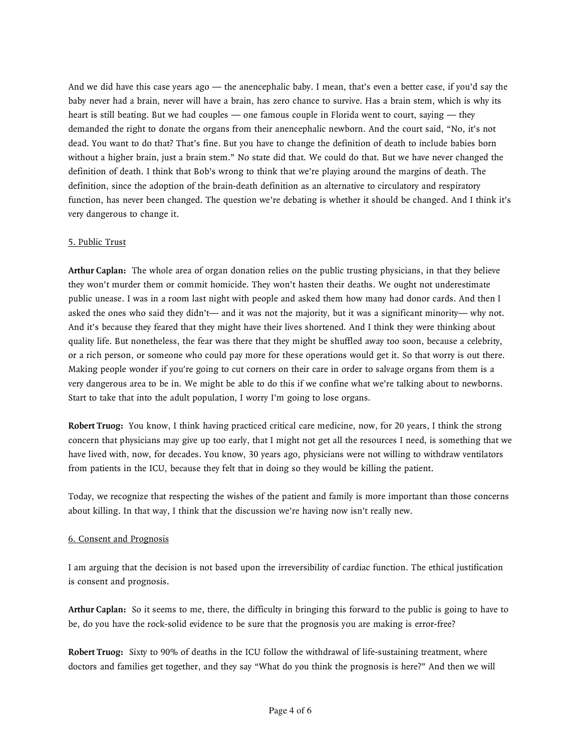And we did have this case years ago — the anencephalic baby. I mean, that's even a better case, if you'd say the baby never had a brain, never will have a brain, has zero chance to survive. Has a brain stem, which is why its heart is still beating. But we had couples — one famous couple in Florida went to court, saying — they demanded the right to donate the organs from their anencephalic newborn. And the court said, "No, it's not dead. You want to do that? That's fine. But you have to change the definition of death to include babies born without a higher brain, just a brain stem." No state did that. We could do that. But we have never changed the definition of death. I think that Bob's wrong to think that we're playing around the margins of death. The definition, since the adoption of the brain-death definition as an alternative to circulatory and respiratory function, has never been changed. The question we're debating is whether it should be changed. And I think it's very dangerous to change it.

### 5. Public Trust

**Arthur Caplan:** The whole area of organ donation relies on the public trusting physicians, in that they believe they won't murder them or commit homicide. They won't hasten their deaths. We ought not underestimate public unease. I was in a room last night with people and asked them how many had donor cards. And then I asked the ones who said they didn't— and it was not the majority, but it was a significant minority— why not. And it's because they feared that they might have their lives shortened. And I think they were thinking about quality life. But nonetheless, the fear was there that they might be shuffled away too soon, because a celebrity, or a rich person, or someone who could pay more for these operations would get it. So that worry is out there. Making people wonder if you're going to cut corners on their care in order to salvage organs from them is a very dangerous area to be in. We might be able to do this if we confine what we're talking about to newborns. Start to take that into the adult population, I worry I'm going to lose organs.

**Robert Truog:** You know, I think having practiced critical care medicine, now, for 20 years, I think the strong concern that physicians may give up too early, that I might not get all the resources I need, is something that we have lived with, now, for decades. You know, 30 years ago, physicians were not willing to withdraw ventilators from patients in the ICU, because they felt that in doing so they would be killing the patient.

Today, we recognize that respecting the wishes of the patient and family is more important than those concerns about killing. In that way, I think that the discussion we're having now isn't really new.

### 6. Consent and Prognosis

I am arguing that the decision is not based upon the irreversibility of cardiac function. The ethical justification is consent and prognosis.

**Arthur Caplan:** So it seems to me, there, the difficulty in bringing this forward to the public is going to have to be, do you have the rock-solid evidence to be sure that the prognosis you are making is error-free?

**Robert Truog:** Sixty to 90% of deaths in the ICU follow the withdrawal of life-sustaining treatment, where doctors and families get together, and they say "What do you think the prognosis is here?" And then we will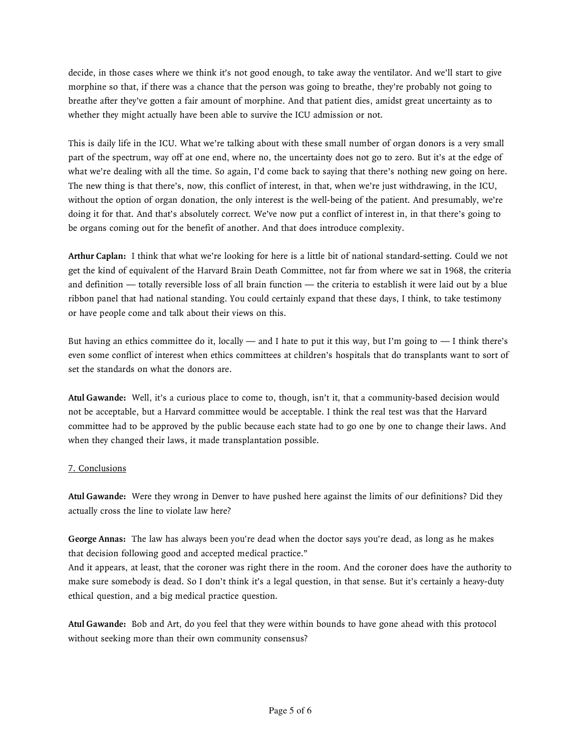decide, in those cases where we think it's not good enough, to take away the ventilator. And we'll start to give morphine so that, if there was a chance that the person was going to breathe, they're probably not going to breathe after they've gotten a fair amount of morphine. And that patient dies, amidst great uncertainty as to whether they might actually have been able to survive the ICU admission or not.

This is daily life in the ICU. What we're talking about with these small number of organ donors is a very small part of the spectrum, way off at one end, where no, the uncertainty does not go to zero. But it's at the edge of what we're dealing with all the time. So again, I'd come back to saying that there's nothing new going on here. The new thing is that there's, now, this conflict of interest, in that, when we're just withdrawing, in the ICU, without the option of organ donation, the only interest is the well-being of the patient. And presumably, we're doing it for that. And that's absolutely correct. We've now put a conflict of interest in, in that there's going to be organs coming out for the benefit of another. And that does introduce complexity.

**Arthur Caplan:** I think that what we're looking for here is a little bit of national standard-setting. Could we not get the kind of equivalent of the Harvard Brain Death Committee, not far from where we sat in 1968, the criteria and definition — totally reversible loss of all brain function — the criteria to establish it were laid out by a blue ribbon panel that had national standing. You could certainly expand that these days, I think, to take testimony or have people come and talk about their views on this.

But having an ethics committee do it, locally — and I hate to put it this way, but I'm going to — I think there's even some conflict of interest when ethics committees at children's hospitals that do transplants want to sort of set the standards on what the donors are.

**Atul Gawande:** Well, it's a curious place to come to, though, isn't it, that a community-based decision would not be acceptable, but a Harvard committee would be acceptable. I think the real test was that the Harvard committee had to be approved by the public because each state had to go one by one to change their laws. And when they changed their laws, it made transplantation possible.

### 7. Conclusions

**Atul Gawande:** Were they wrong in Denver to have pushed here against the limits of our definitions? Did they actually cross the line to violate law here?

**George Annas:** The law has always been you're dead when the doctor says you're dead, as long as he makes that decision following good and accepted medical practice."

And it appears, at least, that the coroner was right there in the room. And the coroner does have the authority to make sure somebody is dead. So I don't think it's a legal question, in that sense. But it's certainly a heavy-duty ethical question, and a big medical practice question.

**Atul Gawande:** Bob and Art, do you feel that they were within bounds to have gone ahead with this protocol without seeking more than their own community consensus?